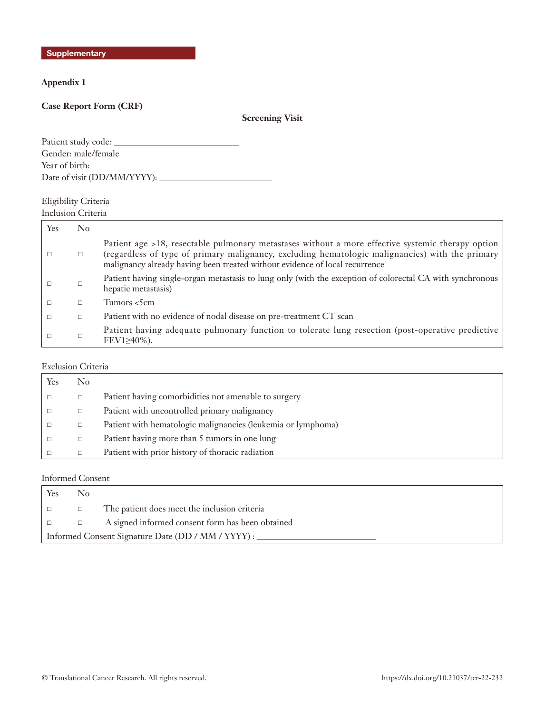**Appendix 1**

## **Case Report Form (CRF)**

# **Screening Visit**

| Patient study code: ____       |  |
|--------------------------------|--|
| Gender: male/female            |  |
| Year of birth:                 |  |
| Date of visit (DD/MM/YYYY): __ |  |

# Eligibility Criteria

Inclusion Criteria

| Yes | $\rm No$ |                                                                                                                                                                                                                                                                                     |
|-----|----------|-------------------------------------------------------------------------------------------------------------------------------------------------------------------------------------------------------------------------------------------------------------------------------------|
|     | □        | Patient age >18, resectable pulmonary metastases without a more effective systemic therapy option<br>(regardless of type of primary malignancy, excluding hematologic malignancies) with the primary<br>malignancy already having been treated without evidence of local recurrence |
|     | □        | Patient having single-organ metastasis to lung only (with the exception of colorectal CA with synchronous<br>hepatic metastasis)                                                                                                                                                    |
|     | □        | Tumors <5cm                                                                                                                                                                                                                                                                         |
|     | $\Box$   | Patient with no evidence of nodal disease on pre-treatment CT scan                                                                                                                                                                                                                  |
|     |          | Patient having adequate pulmonary function to tolerate lung resection (post-operative predictive<br>FEV1240%).                                                                                                                                                                      |

## Exclusion Criteria

| Yes | No     |                                                              |
|-----|--------|--------------------------------------------------------------|
|     | $\Box$ | Patient having comorbidities not amenable to surgery         |
|     | $\Box$ | Patient with uncontrolled primary malignancy                 |
|     | $\Box$ | Patient with hematologic malignancies (leukemia or lymphoma) |
|     | $\Box$ | Patient having more than 5 tumors in one lung                |
|     | $\Box$ | Patient with prior history of thoracic radiation             |

# Informed Consent

| Yes                                                | No     |                                                  |  |  |  |
|----------------------------------------------------|--------|--------------------------------------------------|--|--|--|
|                                                    | $\Box$ | The patient does meet the inclusion criteria     |  |  |  |
|                                                    |        | A signed informed consent form has been obtained |  |  |  |
| Informed Consent Signature Date (DD / MM / YYYY) : |        |                                                  |  |  |  |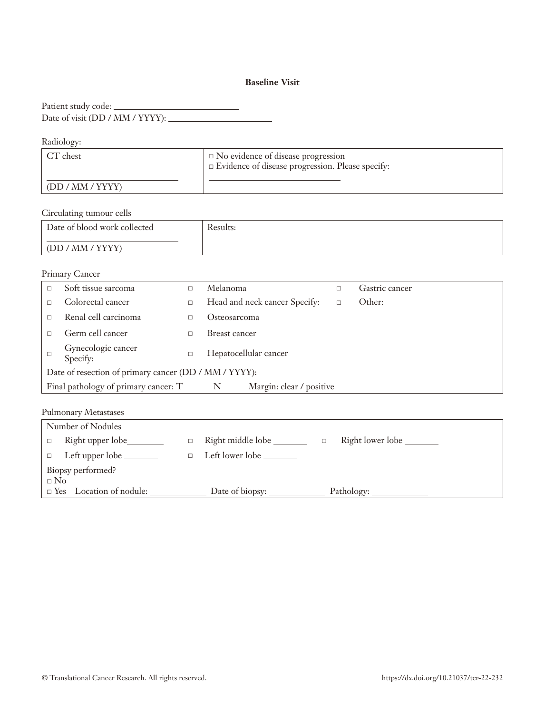## **Baseline Visit**

Patient study code: Date of visit (DD / MM / YYYY):

Radiology:

| CT chest         | $\Box$ No evidence of disease progression<br>$\Box$ Evidence of disease progression. Please specify: |
|------------------|------------------------------------------------------------------------------------------------------|
| (DD / MM / YYYY) |                                                                                                      |

Circulating tumour cells

| Date of blood work collected | <b>Results:</b> |
|------------------------------|-----------------|
| (DD / MM / YYYY)             |                 |

|                                                                                             | Primary Cancer                 |        |                               |        |                |
|---------------------------------------------------------------------------------------------|--------------------------------|--------|-------------------------------|--------|----------------|
|                                                                                             | Soft tissue sarcoma            | П      | Melanoma                      | $\Box$ | Gastric cancer |
|                                                                                             | Colorectal cancer              | $\Box$ | Head and neck cancer Specify: | $\Box$ | Other:         |
|                                                                                             | Renal cell carcinoma           | □      | Osteosarcoma                  |        |                |
|                                                                                             | Germ cell cancer               | П      | Breast cancer                 |        |                |
|                                                                                             | Gynecologic cancer<br>Specify: | $\Box$ | Hepatocellular cancer         |        |                |
| Date of resection of primary cancer (DD / MM / YYYY):                                       |                                |        |                               |        |                |
| Final pathology of primary cancer: $T_{\text{max}} N_{\text{max}}$ Margin: clear / positive |                                |        |                               |        |                |
|                                                                                             |                                |        |                               |        |                |

|                   | Number of Nodules              |  |                            |  |                  |
|-------------------|--------------------------------|--|----------------------------|--|------------------|
| $\Box$            | Right upper lobe_________      |  | Right middle lobe ________ |  | Right lower lobe |
|                   | $\Box$ Left upper lobe $\Box$  |  | Left lower lobe ________   |  |                  |
| Biopsy performed? |                                |  |                            |  |                  |
| $\Box$ No         |                                |  |                            |  |                  |
|                   | $\Box$ Yes Location of nodule: |  |                            |  |                  |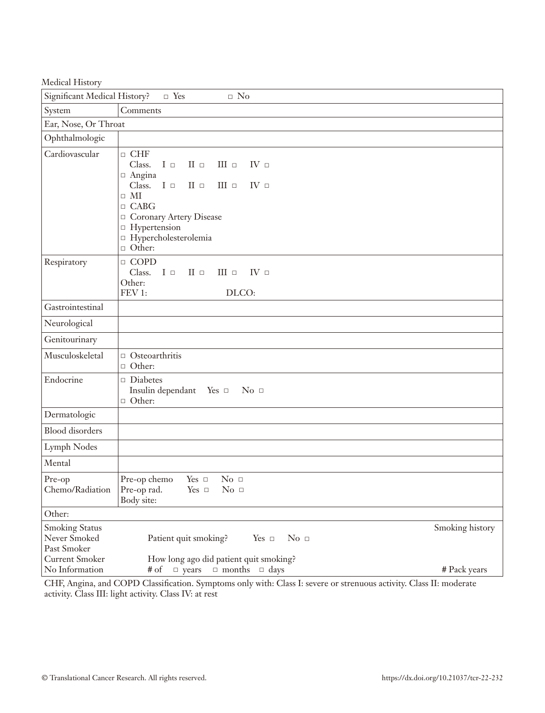| Medical History                                                               |                                                                                                                                                                                                                                                                                                                                 |                 |  |  |
|-------------------------------------------------------------------------------|---------------------------------------------------------------------------------------------------------------------------------------------------------------------------------------------------------------------------------------------------------------------------------------------------------------------------------|-----------------|--|--|
| Significant Medical History?                                                  | $\Box$ Yes<br>$\hfill \Box$<br>No                                                                                                                                                                                                                                                                                               |                 |  |  |
| System                                                                        | Comments                                                                                                                                                                                                                                                                                                                        |                 |  |  |
| Ear, Nose, Or Throat                                                          |                                                                                                                                                                                                                                                                                                                                 |                 |  |  |
| Ophthalmologic                                                                |                                                                                                                                                                                                                                                                                                                                 |                 |  |  |
| Cardiovascular                                                                | $\Box$ CHF<br>Class.<br>$\scriptstyle\rm II$ $\scriptstyle\rm \Box$<br>III $\Box$<br>$I \Box$<br>$IV \square$<br>$\Box$ Angina<br>$I\; \square$<br>Class.<br>$II \Box$<br>$III$ $\Box$<br>IV <sub>z</sub><br>$\hfill \Box$ MI<br>$\Box$ CABG<br>Coronary Artery Disease<br>□ Hypertension<br>□ Hypercholesterolemia<br>□ Other: |                 |  |  |
| Respiratory                                                                   | $\Box$ COPD<br>Class.<br>$I \Box$<br>$\;$ II $\;$ $\;$ $\;$<br>$III$ $\Box$<br>$IV \square$<br>Other:<br>FEV 1:<br>DLCO:                                                                                                                                                                                                        |                 |  |  |
| Gastrointestinal                                                              |                                                                                                                                                                                                                                                                                                                                 |                 |  |  |
| Neurological                                                                  |                                                                                                                                                                                                                                                                                                                                 |                 |  |  |
| Genitourinary                                                                 |                                                                                                                                                                                                                                                                                                                                 |                 |  |  |
| Musculoskeletal                                                               | $\Box$ Osteoarthritis<br>□ Other:                                                                                                                                                                                                                                                                                               |                 |  |  |
| Endocrine                                                                     | $\Box$ Diabetes<br>Insulin dependant Yes □<br>$\mathrm{No}$ $\Box$<br>$\Box$ Other:                                                                                                                                                                                                                                             |                 |  |  |
| Dermatologic                                                                  |                                                                                                                                                                                                                                                                                                                                 |                 |  |  |
| <b>Blood</b> disorders                                                        |                                                                                                                                                                                                                                                                                                                                 |                 |  |  |
| Lymph Nodes                                                                   |                                                                                                                                                                                                                                                                                                                                 |                 |  |  |
| Mental                                                                        |                                                                                                                                                                                                                                                                                                                                 |                 |  |  |
| Pre-op<br>Chemo/Radiation                                                     | Yes $\Box$<br>No <sub>1</sub><br>Pre-op chemo<br>Pre-op rad.<br>Yes $\hfill \Box$<br>No <sub>1</sub><br>Body site:                                                                                                                                                                                                              |                 |  |  |
| Other:                                                                        |                                                                                                                                                                                                                                                                                                                                 |                 |  |  |
| <b>Smoking Status</b><br>Never Smoked<br>Past Smoker<br><b>Current Smoker</b> | $No =$<br>Patient quit smoking?<br>Yes $\Box$<br>How long ago did patient quit smoking?                                                                                                                                                                                                                                         | Smoking history |  |  |
| No Information                                                                | $\Box$ months $\Box$ days<br>$\Box$ years<br># of                                                                                                                                                                                                                                                                               | # Pack years    |  |  |

CHF, Angina, and COPD Classification. Symptoms only with: Class I: severe or strenuous activity. Class II: moderate activity. Class III: light activity. Class IV: at rest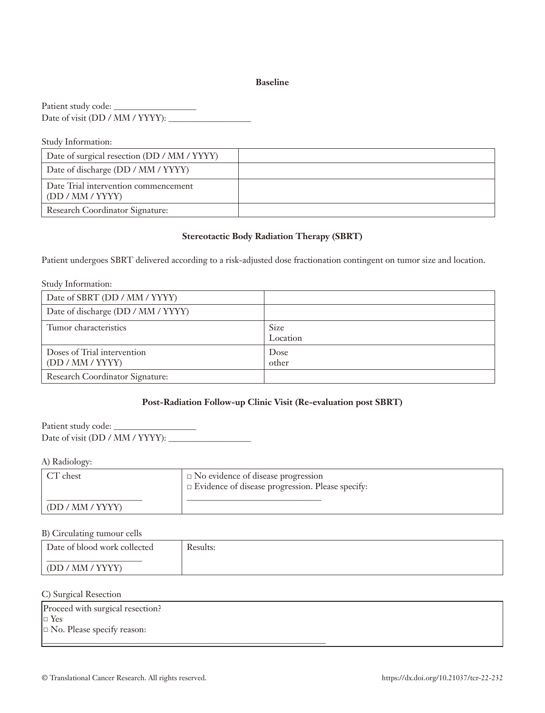#### **Baseline**

Patient study code: \_\_\_\_\_\_\_\_\_\_\_\_\_\_\_\_\_\_\_ Date of visit (DD / MM / YYYY):

| Study Information:                                       |  |
|----------------------------------------------------------|--|
| Date of surgical resection (DD / MM / YYYY)              |  |
| Date of discharge (DD / MM / YYYY)                       |  |
| Date Trial intervention commencement<br>(DD / MM / YYYY) |  |
| Research Coordinator Signature:                          |  |

## **Stereotactic Body Radiation Therapy (SBRT)**

Patient undergoes SBRT delivered according to a risk-adjusted dose fractionation contingent on tumor size and location.

| Study Information:                              |                         |
|-------------------------------------------------|-------------------------|
| Date of SBRT (DD / MM / YYYY)                   |                         |
| Date of discharge (DD / MM / YYYY)              |                         |
| Tumor characteristics                           | <b>Size</b><br>Location |
| Doses of Trial intervention<br>(DD / MM / YYYY) | Dose<br>other           |
| Research Coordinator Signature:                 |                         |

## **Post-Radiation Follow-up Clinic Visit (Re-evaluation post SBRT)**

Patient study code: \_\_\_\_\_\_\_\_\_\_\_\_\_\_\_\_\_\_\_ Date of visit (DD / MM / YYYY): \_\_\_\_\_\_\_\_\_\_\_\_\_\_\_\_\_\_\_

A) Radiology:

| $\angle T$ chest        | $\Box$ No evidence of disease progression<br>$\Box$ Evidence of disease progression. Please specify: |
|-------------------------|------------------------------------------------------------------------------------------------------|
| $\mid$ (DD / MM / YYYY) |                                                                                                      |

#### B) Circulating tumour cells

| Date of blood work collected | Results: |
|------------------------------|----------|
| (DD / MM / YYYY)             |          |

#### C) Surgical Resection

| Proceed with surgical resection?  |  |
|-----------------------------------|--|
| $\Box$ Yes                        |  |
| $\Box$ No. Please specify reason: |  |
|                                   |  |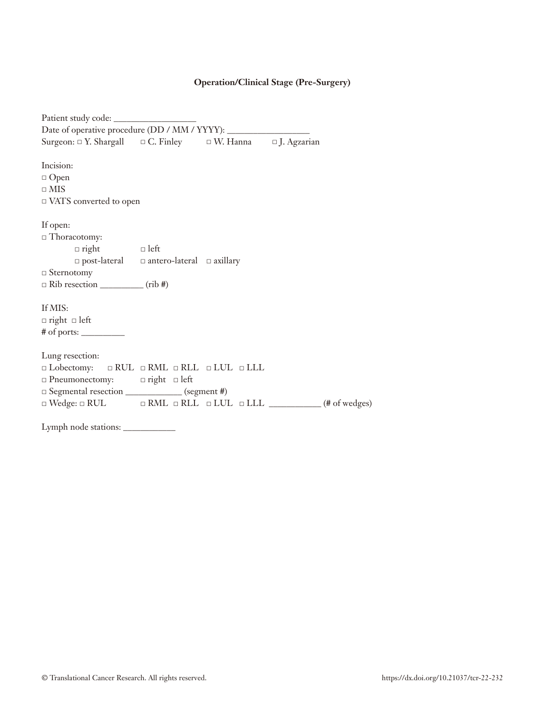# **Operation/Clinical Stage (Pre-Surgery)**

| Surgeon: $\Box$ Y. Shargall $\Box$ C. Finley $\Box$ W. Hanna $\Box$ J. Agzarian |                                            |                                                                                           |
|---------------------------------------------------------------------------------|--------------------------------------------|-------------------------------------------------------------------------------------------|
|                                                                                 |                                            |                                                                                           |
| Incision:                                                                       |                                            |                                                                                           |
| $\Box$ Open                                                                     |                                            |                                                                                           |
| $\Box$ MIS                                                                      |                                            |                                                                                           |
| □ VATS converted to open                                                        |                                            |                                                                                           |
|                                                                                 |                                            |                                                                                           |
| If open:                                                                        |                                            |                                                                                           |
| $\Box$ Thoracotomy:                                                             |                                            |                                                                                           |
| $\Box$ right $\Box$ left                                                        |                                            |                                                                                           |
|                                                                                 | □ post-lateral = antero-lateral = axillary |                                                                                           |
| $\Box$ Sternotomy                                                               |                                            |                                                                                           |
|                                                                                 |                                            |                                                                                           |
|                                                                                 |                                            |                                                                                           |
| If MIS:                                                                         |                                            |                                                                                           |
| $\Box$ right $\Box$ left                                                        |                                            |                                                                                           |
| # of ports: __________                                                          |                                            |                                                                                           |
|                                                                                 |                                            |                                                                                           |
| Lung resection:                                                                 |                                            |                                                                                           |
| $\Box$ Lobectomy: $\Box$ RUL $\Box$ RML $\Box$ RLL $\Box$ LUL $\Box$ LLL        |                                            |                                                                                           |
| □ Pneumonectomy: □ right □ left                                                 |                                            |                                                                                           |
| □ Segmental resection _____________ (segment #)                                 |                                            |                                                                                           |
|                                                                                 |                                            | $\Box$ Wedge: $\Box$ RUL $\Box$ RML $\Box$ RLL $\Box$ LUL $\Box$ LLL $\Box$ (# of wedges) |
|                                                                                 |                                            |                                                                                           |
| Lymph node stations: ____________                                               |                                            |                                                                                           |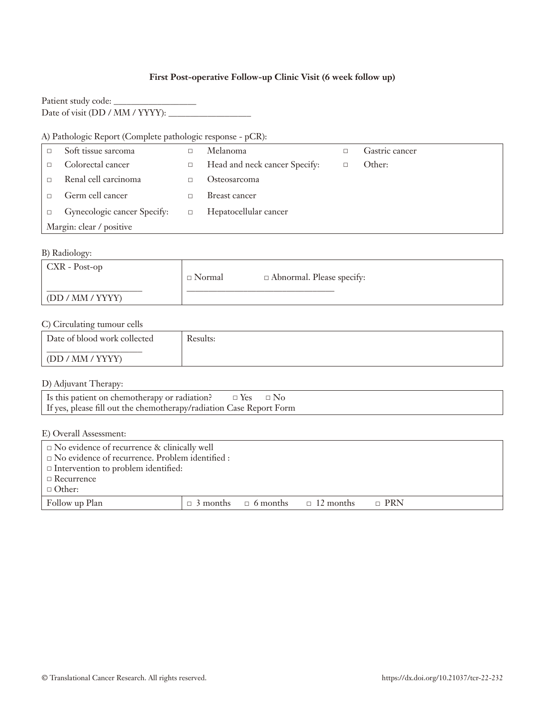## **First Post-operative Follow-up Clinic Visit (6 week follow up)**

| Patient study code:             |  |
|---------------------------------|--|
| Date of visit (DD / MM / YYYY): |  |

# A) Pathologic Report (Complete pathologic response - pCR):

| Soft tissue sarcoma         |        | Melanoma                      | Gastric cancer |
|-----------------------------|--------|-------------------------------|----------------|
| Colorectal cancer           |        | Head and neck cancer Specify: | Other:         |
| Renal cell carcinoma        |        | Osteosarcoma                  |                |
| Germ cell cancer            |        | Breast cancer                 |                |
| Gynecologic cancer Specify: | $\Box$ | Hepatocellular cancer         |                |
| Margin: clear / positive    |        |                               |                |

### B) Radiology:

| $\mathsf{CXR}$ - Post-op | $\Box$ Normal | $\Box$ Abnormal. Please specify: |
|--------------------------|---------------|----------------------------------|
| $\mid$ (DD / MM / YYYY)  |               |                                  |

### C) Circulating tumour cells

| Date of blood work collected | Results: |
|------------------------------|----------|
| $\mid$ (DD / MM / YYYY)      |          |

D) Adjuvant Therapy:

E) Overall Assessment:

| $\Box$ No evidence of recurrence & clinically well     |  |                                 |                  |            |  |
|--------------------------------------------------------|--|---------------------------------|------------------|------------|--|
| $\Box$ No evidence of recurrence. Problem identified : |  |                                 |                  |            |  |
| $\Box$ Intervention to problem identified:             |  |                                 |                  |            |  |
| $\Box$ Recurrence                                      |  |                                 |                  |            |  |
| $\Box$ Other:                                          |  |                                 |                  |            |  |
| Follow up Plan                                         |  | $\Box$ 3 months $\Box$ 6 months | $\Box$ 12 months | $\Box$ PRN |  |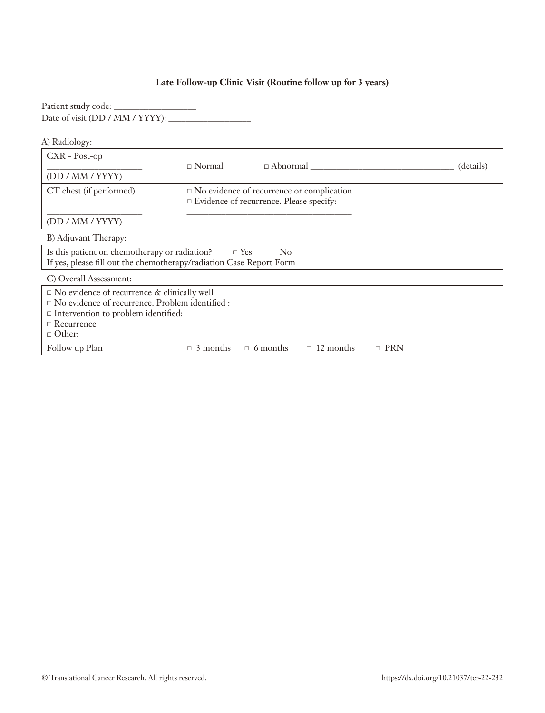# **Late Follow-up Clinic Visit (Routine follow up for 3 years)**

Patient study code: \_\_\_\_\_\_\_\_\_\_\_\_\_\_\_\_\_\_\_ Date of visit (DD / MM / YYYY):

A) Radiology:

| $CXR - Post-op$<br>(DD / MM / YYYY)                                                                                                                                                                 | $\Box$ Normal<br>$\Box$ Abnormal                                                                 | (details) |
|-----------------------------------------------------------------------------------------------------------------------------------------------------------------------------------------------------|--------------------------------------------------------------------------------------------------|-----------|
| CT chest (if performed)                                                                                                                                                                             | $\square$ No evidence of recurrence or complication<br>□ Evidence of recurrence. Please specify: |           |
| (DD / MM / YYYY)                                                                                                                                                                                    |                                                                                                  |           |
| B) Adjuvant Therapy:                                                                                                                                                                                |                                                                                                  |           |
| Is this patient on chemotherapy or radiation?<br>If yes, please fill out the chemotherapy/radiation Case Report Form                                                                                | $\Box$ Yes<br>$\rm No$                                                                           |           |
| C) Overall Assessment:                                                                                                                                                                              |                                                                                                  |           |
| $\Box$ No evidence of recurrence & clinically well<br>$\square$ No evidence of recurrence. Problem identified :<br>$\Box$ Intervention to problem identified:<br>$\Box$ Recurrence<br>$\Box$ Other: |                                                                                                  |           |
| Follow up Plan                                                                                                                                                                                      | $\Box$ PRN<br>$\Box$ 3 months<br>$\Box$ 6 months<br>$\Box$ 12 months                             |           |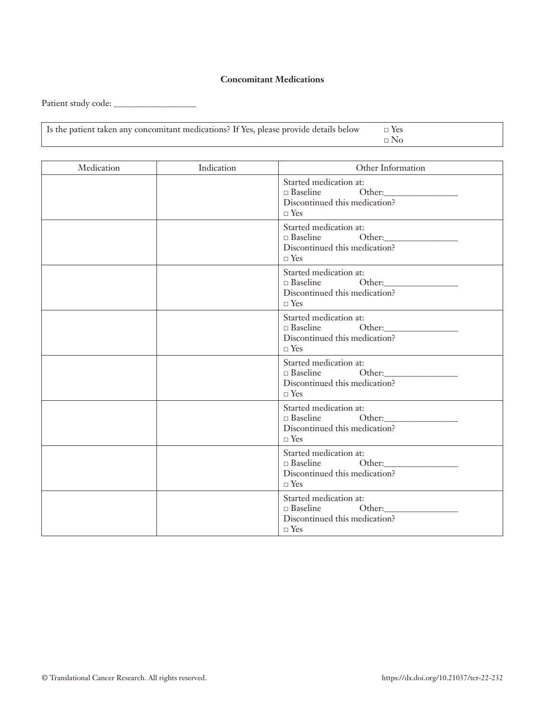#### **Concomitant Medications**

Patient study code: \_\_\_\_\_\_\_\_\_\_\_\_\_\_\_\_\_\_\_

| Is the patient taken any concomitant medications? If Yes, please provide details below $\square$ Yes |  |
|------------------------------------------------------------------------------------------------------|--|
|                                                                                                      |  |

| Medication | Indication | Other Information                                                                                 |
|------------|------------|---------------------------------------------------------------------------------------------------|
|            |            | Started medication at:<br>□ Baseline Other: 0ther:<br>Discontinued this medication?<br>$\Box$ Yes |
|            |            | Started medication at:<br>□ Baseline Other:<br>Discontinued this medication?<br>$\Box$ Yes        |
|            |            | Started medication at:<br>□ Baseline Other: 0ther:<br>Discontinued this medication?<br>$\Box$ Yes |
|            |            | Started medication at:<br>Discontinued this medication?<br>$\Box$ Yes                             |
|            |            | Started medication at:<br>□ Baseline Other:<br>Discontinued this medication?<br>$\Box$ Yes        |
|            |            | Started medication at:<br>□ Baseline Other: 0ther:<br>Discontinued this medication?<br>$\Box$ Yes |
|            |            | Started medication at:<br>□ Baseline Other:<br>Discontinued this medication?<br>$\neg$ Yes        |
|            |            | Started medication at:<br>Discontinued this medication?<br>$\square$ Yes                          |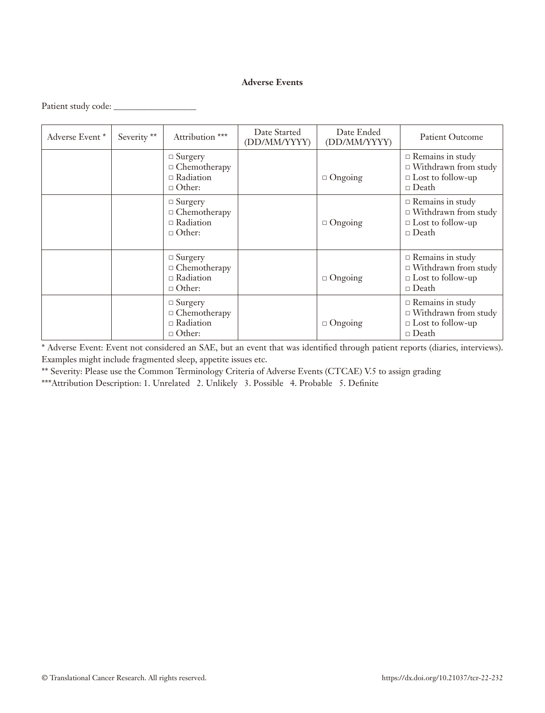## **Adverse Events**

| Patient study code: |  |
|---------------------|--|
|                     |  |

| Adverse Event* | Severity ** | Attribution ***                                                            | Date Started<br>(DD/MM/YYYY) | Date Ended<br>(DD/MM/YYYY) | <b>Patient Outcome</b>                                                                             |
|----------------|-------------|----------------------------------------------------------------------------|------------------------------|----------------------------|----------------------------------------------------------------------------------------------------|
|                |             | $\Box$ Surgery<br>$\Box$ Chemotherapy<br>$\Box$ Radiation<br>$\Box$ Other: |                              | $\Box$ Ongoing             | $\Box$ Remains in study<br>$\Box$ Withdrawn from study<br>$\Box$ Lost to follow-up<br>$\Box$ Death |
|                |             | $\Box$ Surgery<br>$\Box$ Chemotherapy<br>$\Box$ Radiation<br>$\Box$ Other: |                              | $\Box$ Ongoing             | $\Box$ Remains in study<br>$\Box$ Withdrawn from study<br>$\Box$ Lost to follow-up<br>$\Box$ Death |
|                |             | $\Box$ Surgery<br>$\Box$ Chemotherapy<br>$\Box$ Radiation<br>$\Box$ Other: |                              | $\Box$ Ongoing             | $\Box$ Remains in study<br>$\Box$ Withdrawn from study<br>$\Box$ Lost to follow-up<br>$\Box$ Death |
|                |             | $\Box$ Surgery<br>$\Box$ Chemotherapy<br>$\Box$ Radiation<br>$\Box$ Other: |                              | $\Box$ Ongoing             | $\Box$ Remains in study<br>$\Box$ Withdrawn from study<br>$\Box$ Lost to follow-up<br>$\Box$ Death |

\* Adverse Event: Event not considered an SAE, but an event that was identified through patient reports (diaries, interviews). Examples might include fragmented sleep, appetite issues etc.

\*\* Severity: Please use the Common Terminology Criteria of Adverse Events (CTCAE) V.5 to assign grading

\*\*\*Attribution Description: 1. Unrelated 2. Unlikely 3. Possible 4. Probable 5. Definite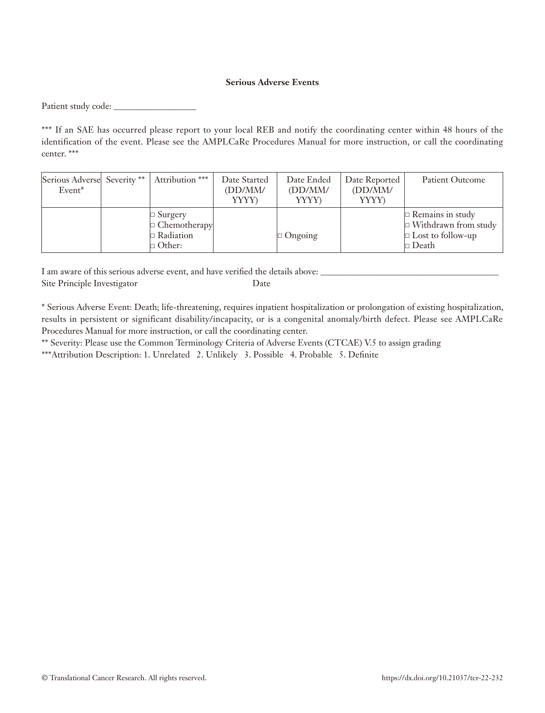#### **Serious Adverse Events**

Patient study code: \_\_\_\_\_\_\_\_\_\_\_\_\_\_\_\_\_\_\_

\*\*\* If an SAE has occurred please report to your local REB and notify the coordinating center within 48 hours of the identification of the event. Please see the AMPLCaRe Procedures Manual for more instruction, or call the coordinating center. \*\*\*

| Serious Adverse Severity **<br>Event <sup>*</sup> | Attribution ***                                                            | Date Started<br>(DD/MM/<br><b>YYYY</b> ) | Date Ended<br>(DD/MM/<br>YYYY) | Date Reported<br>(DD/MM/<br>YYYY) | Patient Outcome                                                                                    |
|---------------------------------------------------|----------------------------------------------------------------------------|------------------------------------------|--------------------------------|-----------------------------------|----------------------------------------------------------------------------------------------------|
|                                                   | $\Box$ Surgery<br>$\Box$ Chemotherapy<br>$\Box$ Radiation<br>$\Box$ Other: |                                          | Ongoing                        |                                   | $\Box$ Remains in study<br>$\Box$ Withdrawn from study<br>$\Box$ Lost to follow-up<br>$\Box$ Death |

I am aware of this serious adverse event, and have verified the details above: Site Principle Investigator Date

\* Serious Adverse Event: Death; life-threatening, requires inpatient hospitalization or prolongation of existing hospitalization, results in persistent or significant disability/incapacity, or is a congenital anomaly/birth defect. Please see AMPLCaRe Procedures Manual for more instruction, or call the coordinating center.

\*\* Severity: Please use the Common Terminology Criteria of Adverse Events (CTCAE) V.5 to assign grading

\*\*\*Attribution Description: 1. Unrelated 2. Unlikely 3. Possible 4. Probable 5. Definite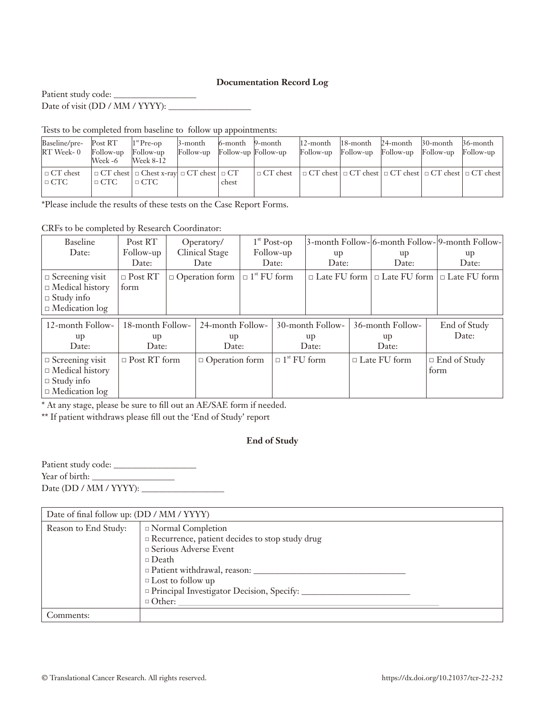#### **Documentation Record Log**

Patient study code: Date of visit (DD / MM / YYYY): \_\_\_\_\_\_\_\_\_\_\_\_\_\_\_\_\_\_\_

Tests to be completed from baseline to follow up appointments:

| Baseline/pre-<br>RT Week- 0   | Post RT<br>Follow-up<br>Week -6 | $1st$ Pre-op<br>Follow-up<br>Week 8-12                                        | 3-month<br>Follow-up Follow-up Follow-up | $6$ -month $9$ -month |                              | $ 12$ -month $ 18$ -month<br>Follow-up Follow-up | Follow-up Follow-up | $24$ -month $30$ -month $36$ -month | Follow-up                                                                       |
|-------------------------------|---------------------------------|-------------------------------------------------------------------------------|------------------------------------------|-----------------------|------------------------------|--------------------------------------------------|---------------------|-------------------------------------|---------------------------------------------------------------------------------|
| $\Box$ CT chest<br>$\Box$ CTC | $\Box$ CTC                      | $\Box$ CT chest $\Box$ Chest x-ray $\Box$ CT chest $\Box$ CT<br>$\sqcap$ CTC. |                                          | chest                 | $\mathbin{\square}$ CT chest |                                                  |                     |                                     | $\Box$ CT chest $\Box$ CT chest $\Box$ CT chest $\Box$ CT chest $\Box$ CT chest |

\*Please include the results of these tests on the Case Report Forms.

CRFs to be completed by Research Coordinator:

| <b>Baseline</b><br>Date:                                                                       | Post RT<br>Follow-up<br>Date:   | Operatory/<br><b>Clinical Stage</b><br>Date |                                 | $1st$ Post-op<br>Follow-up<br>Date: |                                | up<br>Date:                     |  | up<br>Date:                                    | 3-month Follow- 6-month Follow- 9-month Follow- <br>up<br>Date: |
|------------------------------------------------------------------------------------------------|---------------------------------|---------------------------------------------|---------------------------------|-------------------------------------|--------------------------------|---------------------------------|--|------------------------------------------------|-----------------------------------------------------------------|
| $\Box$ Screening visit<br>$\Box$ Medical history<br>$\Box$ Study info<br>$\Box$ Medication log | $\Box$ Post RT<br>form          |                                             | $\Box$ Operation form           | $\Box$ 1 <sup>st</sup> FU form      |                                |                                 |  | $\Box$ Late FU form $\Box$ Late FU form $\Box$ | $\Box$ Late FU form                                             |
| 12-month Follow-<br>up<br>Date:                                                                | 18-month Follow-<br>up<br>Date: |                                             | 24-month Follow-<br>up<br>Date: |                                     |                                | 30-month Follow-<br>up<br>Date: |  | 36-month Follow-<br>up<br>Date:                | End of Study<br>Date:                                           |
| $\Box$ Screening visit<br>$\Box$ Medical history<br>$\Box$ Study info<br>$\Box$ Medication log | $\Box$ Post RT form             |                                             | $\Box$ Operation form           |                                     | $\Box$ 1 <sup>st</sup> FU form |                                 |  | $\Box$ Late FU form                            | $\Box$ End of Study<br>form                                     |

\* At any stage, please be sure to fill out an AE/SAE form if needed.

\*\* If patient withdraws please fill out the 'End of Study' report

#### **End of Study**

Patient study code: \_\_\_\_\_\_\_\_\_\_\_\_\_\_\_\_\_\_\_ Year of birth: \_\_\_\_\_\_\_\_\_\_\_\_\_\_\_\_\_\_\_ Date (DD / MM / YYYY): \_\_\_\_\_\_\_\_\_\_\_\_\_\_\_\_\_\_\_

| Date of final follow up: (DD / MM / YYYY) |                                                                                                                                                                                                                                                                                        |  |  |  |
|-------------------------------------------|----------------------------------------------------------------------------------------------------------------------------------------------------------------------------------------------------------------------------------------------------------------------------------------|--|--|--|
| Reason to End Study:                      | □ Normal Completion<br>□ Recurrence, patient decides to stop study drug<br>□ Serious Adverse Event<br>$\Box$ Death<br>patient withdrawal, reason: patient withdrawal, reason:<br>$\Box$ Lost to follow up<br>$\Box$ Principal Investigator Decision, Specify: _______<br>$\Box$ Other: |  |  |  |
| Comments:                                 |                                                                                                                                                                                                                                                                                        |  |  |  |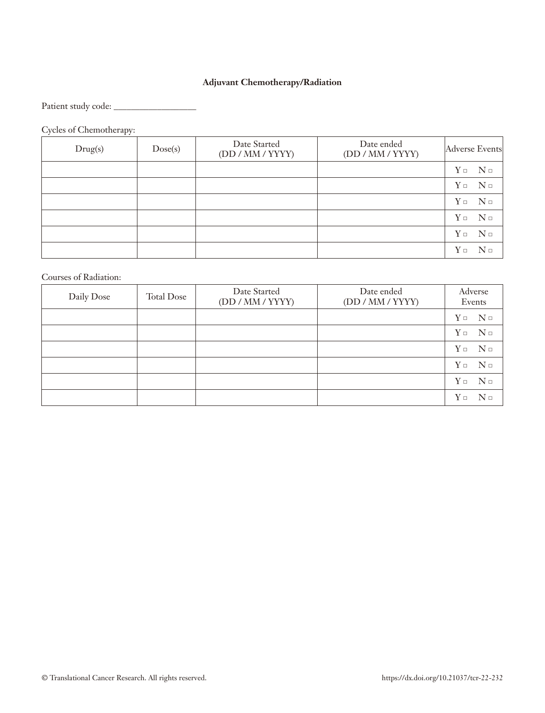# **Adjuvant Chemotherapy/Radiation**

Patient study code: \_\_\_\_\_\_\_\_\_\_\_\_\_\_\_\_\_\_\_

Cycles of Chemotherapy:

| Drug(s) | Dose(s) | Date Started<br>(DD / MM / YYYY) | Date ended<br>(DD / MM / YYYY) |          | Adverse Events                                                                   |
|---------|---------|----------------------------------|--------------------------------|----------|----------------------------------------------------------------------------------|
|         |         |                                  |                                |          | $Y \Box$ N $\Box$                                                                |
|         |         |                                  |                                |          | $Y\mathbin{\rlap{\;\trianglelefteq\;}}\ \ N\mathbin{\rlap{\;\trianglelefteq\;}}$ |
|         |         |                                  |                                |          | $Y \Box$ N $\Box$                                                                |
|         |         |                                  |                                |          | $Y \Box$ N $\Box$                                                                |
|         |         |                                  |                                |          | $Y \Box$ N $\Box$                                                                |
|         |         |                                  |                                | $Y \Box$ | $N \Box$                                                                         |

Courses of Radiation:

| Daily Dose | <b>Total Dose</b> | Date Started<br>(DD / MM / YYYY) | Date ended<br>(DD / MM / YYYY) | Adverse<br>Events    |
|------------|-------------------|----------------------------------|--------------------------------|----------------------|
|            |                   |                                  |                                | $Y \Box$ N $\Box$    |
|            |                   |                                  |                                | $Y \Box$ N $\Box$    |
|            |                   |                                  |                                | $N \Box$<br>$Y \Box$ |
|            |                   |                                  |                                | $Y \Box$ N $\Box$    |
|            |                   |                                  |                                | $Y \Box$ N $\Box$    |
|            |                   |                                  |                                | $Y \Box$<br>$N \Box$ |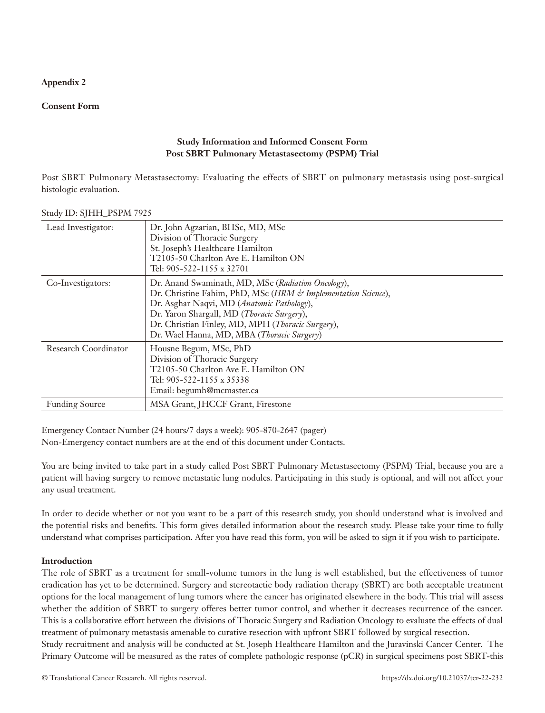## **Appendix 2**

#### **Consent Form**

## **Study Information and Informed Consent Form Post SBRT Pulmonary Metastasectomy (PSPM) Trial**

Post SBRT Pulmonary Metastasectomy: Evaluating the effects of SBRT on pulmonary metastasis using post-surgical histologic evaluation.

| Lead Investigator:    | Dr. John Agzarian, BHSc, MD, MSc<br>Division of Thoracic Surgery<br>St. Joseph's Healthcare Hamilton<br>T2105-50 Charlton Ave E. Hamilton ON<br>Tel: 905-522-1155 x 32701                                                                                                                                          |
|-----------------------|--------------------------------------------------------------------------------------------------------------------------------------------------------------------------------------------------------------------------------------------------------------------------------------------------------------------|
| Co-Investigators:     | Dr. Anand Swaminath, MD, MSc (Radiation Oncology),<br>Dr. Christine Fahim, PhD, MSc (HRM & Implementation Science),<br>Dr. Asghar Naqvi, MD (Anatomic Pathology),<br>Dr. Yaron Shargall, MD (Thoracic Surgery),<br>Dr. Christian Finley, MD, MPH (Thoracic Surgery),<br>Dr. Wael Hanna, MD, MBA (Thoracic Surgery) |
| Research Coordinator  | Housne Begum, MSc, PhD<br>Division of Thoracic Surgery<br>T2105-50 Charlton Ave E. Hamilton ON<br>Tel: 905-522-1155 x 35338<br>Email: begumh@mcmaster.ca                                                                                                                                                           |
| <b>Funding Source</b> | MSA Grant, JHCCF Grant, Firestone                                                                                                                                                                                                                                                                                  |

Study ID: SJHH\_PSPM 7925

Emergency Contact Number (24 hours/7 days a week): 905-870-2647 (pager) Non-Emergency contact numbers are at the end of this document under Contacts.

You are being invited to take part in a study called Post SBRT Pulmonary Metastasectomy (PSPM) Trial, because you are a patient will having surgery to remove metastatic lung nodules. Participating in this study is optional, and will not affect your any usual treatment.

In order to decide whether or not you want to be a part of this research study, you should understand what is involved and the potential risks and benefits. This form gives detailed information about the research study. Please take your time to fully understand what comprises participation. After you have read this form, you will be asked to sign it if you wish to participate.

#### **Introduction**

The role of SBRT as a treatment for small-volume tumors in the lung is well established, but the effectiveness of tumor eradication has yet to be determined. Surgery and stereotactic body radiation therapy (SBRT) are both acceptable treatment options for the local management of lung tumors where the cancer has originated elsewhere in the body. This trial will assess whether the addition of SBRT to surgery offeres better tumor control, and whether it decreases recurrence of the cancer. This is a collaborative effort between the divisions of Thoracic Surgery and Radiation Oncology to evaluate the effects of dual treatment of pulmonary metastasis amenable to curative resection with upfront SBRT followed by surgical resection.

Study recruitment and analysis will be conducted at St. Joseph Healthcare Hamilton and the Juravinski Cancer Center. The Primary Outcome will be measured as the rates of complete pathologic response (pCR) in surgical specimens post SBRT-this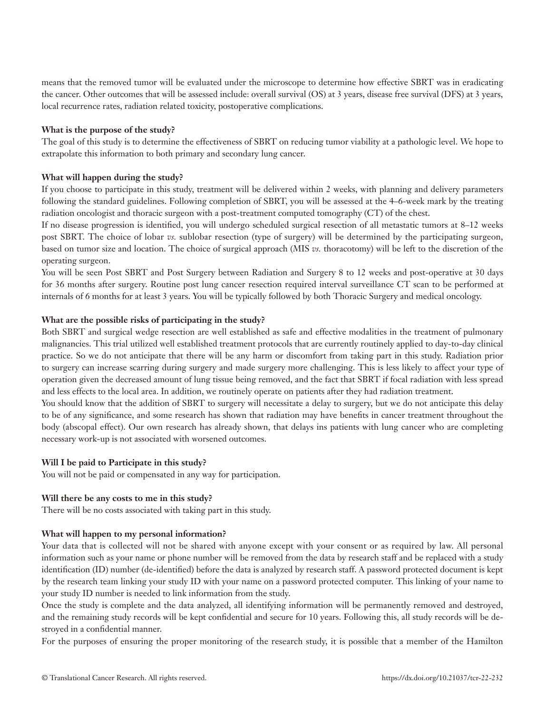means that the removed tumor will be evaluated under the microscope to determine how effective SBRT was in eradicating the cancer. Other outcomes that will be assessed include: overall survival (OS) at 3 years, disease free survival (DFS) at 3 years, local recurrence rates, radiation related toxicity, postoperative complications.

#### **What is the purpose of the study?**

The goal of this study is to determine the effectiveness of SBRT on reducing tumor viability at a pathologic level. We hope to extrapolate this information to both primary and secondary lung cancer.

#### **What will happen during the study?**

If you choose to participate in this study, treatment will be delivered within 2 weeks, with planning and delivery parameters following the standard guidelines. Following completion of SBRT, you will be assessed at the 4–6-week mark by the treating radiation oncologist and thoracic surgeon with a post-treatment computed tomography (CT) of the chest.

If no disease progression is identified, you will undergo scheduled surgical resection of all metastatic tumors at 8–12 weeks post SBRT. The choice of lobar *vs.* sublobar resection (type of surgery) will be determined by the participating surgeon, based on tumor size and location. The choice of surgical approach (MIS *vs.* thoracotomy) will be left to the discretion of the operating surgeon.

You will be seen Post SBRT and Post Surgery between Radiation and Surgery 8 to 12 weeks and post-operative at 30 days for 36 months after surgery. Routine post lung cancer resection required interval surveillance CT scan to be performed at internals of 6 months for at least 3 years. You will be typically followed by both Thoracic Surgery and medical oncology.

#### **What are the possible risks of participating in the study?**

Both SBRT and surgical wedge resection are well established as safe and effective modalities in the treatment of pulmonary malignancies. This trial utilized well established treatment protocols that are currently routinely applied to day-to-day clinical practice. So we do not anticipate that there will be any harm or discomfort from taking part in this study. Radiation prior to surgery can increase scarring during surgery and made surgery more challenging. This is less likely to affect your type of operation given the decreased amount of lung tissue being removed, and the fact that SBRT if focal radiation with less spread and less effects to the local area. In addition, we routinely operate on patients after they had radiation treatment.

You should know that the addition of SBRT to surgery will necessitate a delay to surgery, but we do not anticipate this delay to be of any significance, and some research has shown that radiation may have benefits in cancer treatment throughout the body (abscopal effect). Our own research has already shown, that delays ins patients with lung cancer who are completing necessary work-up is not associated with worsened outcomes.

#### **Will I be paid to Participate in this study?**

You will not be paid or compensated in any way for participation.

#### **Will there be any costs to me in this study?**

There will be no costs associated with taking part in this study.

#### **What will happen to my personal information?**

Your data that is collected will not be shared with anyone except with your consent or as required by law. All personal information such as your name or phone number will be removed from the data by research staff and be replaced with a study identification (ID) number (de-identified) before the data is analyzed by research staff. A password protected document is kept by the research team linking your study ID with your name on a password protected computer. This linking of your name to your study ID number is needed to link information from the study.

Once the study is complete and the data analyzed, all identifying information will be permanently removed and destroyed, and the remaining study records will be kept confidential and secure for 10 years. Following this, all study records will be destroyed in a confidential manner.

For the purposes of ensuring the proper monitoring of the research study, it is possible that a member of the Hamilton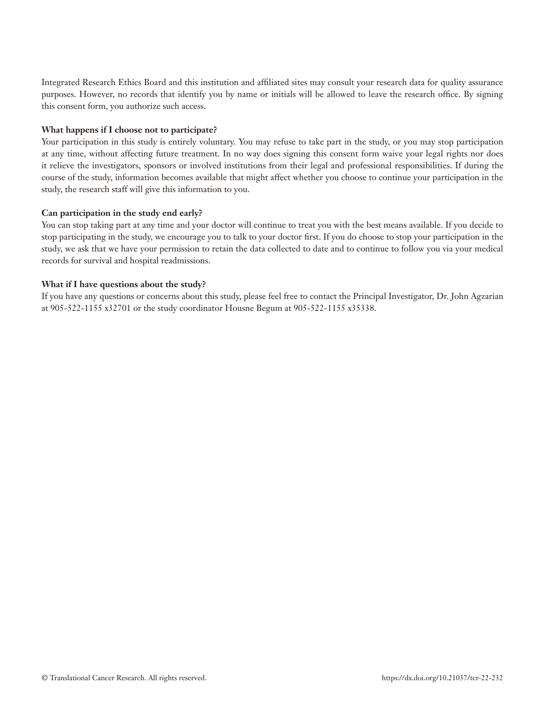Integrated Research Ethics Board and this institution and affiliated sites may consult your research data for quality assurance purposes. However, no records that identify you by name or initials will be allowed to leave the research office. By signing this consent form, you authorize such access.

#### **What happens if I choose not to participate?**

Your participation in this study is entirely voluntary. You may refuse to take part in the study, or you may stop participation at any time, without affecting future treatment. In no way does signing this consent form waive your legal rights nor does it relieve the investigators, sponsors or involved institutions from their legal and professional responsibilities. If during the course of the study, information becomes available that might affect whether you choose to continue your participation in the study, the research staff will give this information to you.

#### **Can participation in the study end early?**

You can stop taking part at any time and your doctor will continue to treat you with the best means available. If you decide to stop participating in the study, we encourage you to talk to your doctor first. If you do choose to stop your participation in the study, we ask that we have your permission to retain the data collected to date and to continue to follow you via your medical records for survival and hospital readmissions.

#### **What if I have questions about the study?**

If you have any questions or concerns about this study, please feel free to contact the Principal Investigator, Dr. John Agzarian at 905-522-1155 x32701 or the study coordinator Housne Begum at 905-522-1155 x35338.